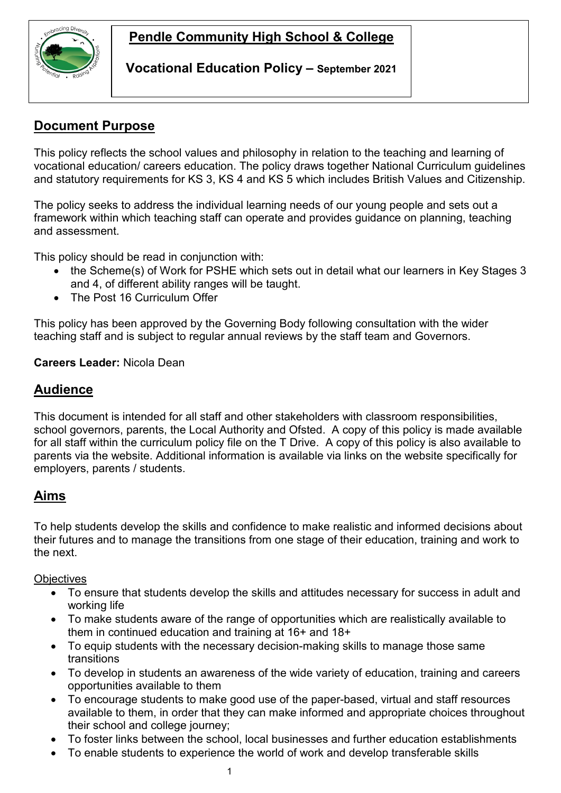# **Pendle Community High School & College**



**Vocational Education Policy – September 2021**

### **Document Purpose**

This policy reflects the school values and philosophy in relation to the teaching and learning of vocational education/ careers education. The policy draws together National Curriculum guidelines and statutory requirements for KS 3, KS 4 and KS 5 which includes British Values and Citizenship.

The policy seeks to address the individual learning needs of our young people and sets out a framework within which teaching staff can operate and provides guidance on planning, teaching and assessment.

This policy should be read in conjunction with:

- the Scheme(s) of Work for PSHE which sets out in detail what our learners in Key Stages 3 and 4, of different ability ranges will be taught.
- The Post 16 Curriculum Offer

This policy has been approved by the Governing Body following consultation with the wider teaching staff and is subject to regular annual reviews by the staff team and Governors.

#### **Careers Leader:** Nicola Dean

### **Audience**

This document is intended for all staff and other stakeholders with classroom responsibilities, school governors, parents, the Local Authority and Ofsted. A copy of this policy is made available for all staff within the curriculum policy file on the T Drive. A copy of this policy is also available to parents via the website. Additional information is available via links on the website specifically for employers, parents / students.

### **Aims**

To help students develop the skills and confidence to make realistic and informed decisions about their futures and to manage the transitions from one stage of their education, training and work to the next.

**Objectives** 

- To ensure that students develop the skills and attitudes necessary for success in adult and working life
- To make students aware of the range of opportunities which are realistically available to them in continued education and training at 16+ and 18+
- To equip students with the necessary decision-making skills to manage those same transitions
- To develop in students an awareness of the wide variety of education, training and careers opportunities available to them
- To encourage students to make good use of the paper-based, virtual and staff resources available to them, in order that they can make informed and appropriate choices throughout their school and college journey;
- To foster links between the school, local businesses and further education establishments
- To enable students to experience the world of work and develop transferable skills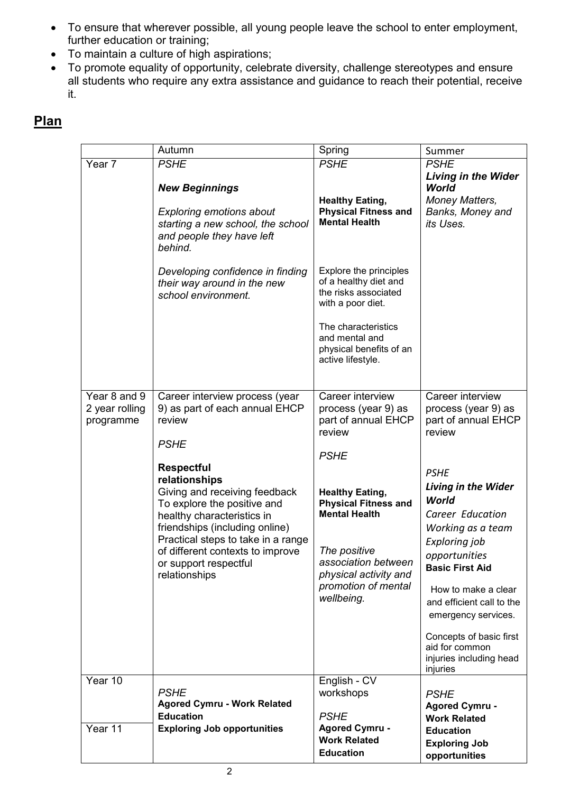- To ensure that wherever possible, all young people leave the school to enter employment, further education or training;
- To maintain a culture of high aspirations;
- To promote equality of opportunity, celebrate diversity, challenge stereotypes and ensure all students who require any extra assistance and guidance to reach their potential, receive it.

## **Plan**

|                                             | Autumn                                                                                                                                                                                                                                                                                                                                                                              | Spring                                                                                                                                                                                                                                                                        | Summer                                                                                                                                                                                                                                                                                                                                                                                             |
|---------------------------------------------|-------------------------------------------------------------------------------------------------------------------------------------------------------------------------------------------------------------------------------------------------------------------------------------------------------------------------------------------------------------------------------------|-------------------------------------------------------------------------------------------------------------------------------------------------------------------------------------------------------------------------------------------------------------------------------|----------------------------------------------------------------------------------------------------------------------------------------------------------------------------------------------------------------------------------------------------------------------------------------------------------------------------------------------------------------------------------------------------|
| Year 7                                      | <b>PSHE</b>                                                                                                                                                                                                                                                                                                                                                                         | <b>PSHE</b>                                                                                                                                                                                                                                                                   | <b>PSHE</b>                                                                                                                                                                                                                                                                                                                                                                                        |
|                                             | <b>New Beginnings</b><br><b>Exploring emotions about</b><br>starting a new school, the school<br>and people they have left<br>behind.                                                                                                                                                                                                                                               | <b>Healthy Eating,</b><br><b>Physical Fitness and</b><br><b>Mental Health</b>                                                                                                                                                                                                 | <b>Living in the Wider</b><br>World<br>Money Matters,<br>Banks, Money and<br>its Uses.                                                                                                                                                                                                                                                                                                             |
|                                             | Developing confidence in finding<br>their way around in the new<br>school environment.                                                                                                                                                                                                                                                                                              | Explore the principles<br>of a healthy diet and<br>the risks associated<br>with a poor diet.<br>The characteristics<br>and mental and<br>physical benefits of an<br>active lifestyle.                                                                                         |                                                                                                                                                                                                                                                                                                                                                                                                    |
| Year 8 and 9<br>2 year rolling<br>programme | Career interview process (year<br>9) as part of each annual EHCP<br>review<br><b>PSHE</b><br><b>Respectful</b><br>relationships<br>Giving and receiving feedback<br>To explore the positive and<br>healthy characteristics in<br>friendships (including online)<br>Practical steps to take in a range<br>of different contexts to improve<br>or support respectful<br>relationships | Career interview<br>process (year 9) as<br>part of annual EHCP<br>review<br><b>PSHE</b><br><b>Healthy Eating,</b><br><b>Physical Fitness and</b><br><b>Mental Health</b><br>The positive<br>association between<br>physical activity and<br>promotion of mental<br>wellbeing. | Career interview<br>process (year 9) as<br>part of annual EHCP<br>review<br><b>PSHE</b><br><b>Living in the Wider</b><br>World<br>Career Education<br>Working as a team<br>Exploring job<br>opportunities<br><b>Basic First Aid</b><br>How to make a clear<br>and efficient call to the<br>emergency services.<br>Concepts of basic first<br>aid for common<br>injuries including head<br>injuries |
| Year 10                                     | <b>PSHE</b><br><b>Agored Cymru - Work Related</b><br><b>Education</b>                                                                                                                                                                                                                                                                                                               | English - CV<br>workshops<br><b>PSHE</b>                                                                                                                                                                                                                                      | <b>PSHE</b><br><b>Agored Cymru -</b><br><b>Work Related</b>                                                                                                                                                                                                                                                                                                                                        |
| Year 11                                     | <b>Exploring Job opportunities</b>                                                                                                                                                                                                                                                                                                                                                  | <b>Agored Cymru -</b><br><b>Work Related</b><br><b>Education</b>                                                                                                                                                                                                              | <b>Education</b><br><b>Exploring Job</b><br>opportunities                                                                                                                                                                                                                                                                                                                                          |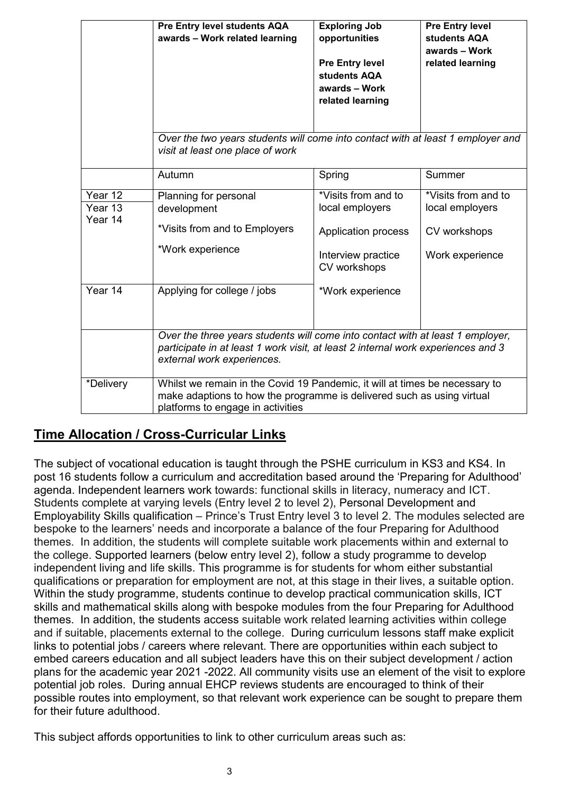|                                          | Pre Entry level students AQA<br>awards - Work related learning                                                                                                                                   | <b>Exploring Job</b><br>opportunities<br><b>Pre Entry level</b><br>students AQA<br>awards - Work<br>related learning           | <b>Pre Entry level</b><br>students AQA<br>awards - Work<br>related learning |  |
|------------------------------------------|--------------------------------------------------------------------------------------------------------------------------------------------------------------------------------------------------|--------------------------------------------------------------------------------------------------------------------------------|-----------------------------------------------------------------------------|--|
|                                          | Over the two years students will come into contact with at least 1 employer and<br>visit at least one place of work                                                                              |                                                                                                                                |                                                                             |  |
|                                          | Autumn                                                                                                                                                                                           | Spring                                                                                                                         | Summer                                                                      |  |
| Year 12<br>Year 13<br>Year 14<br>Year 14 | Planning for personal<br>development<br>*Visits from and to Employers<br>*Work experience<br>Applying for college / jobs                                                                         | *Visits from and to<br>local employers<br><b>Application process</b><br>Interview practice<br>CV workshops<br>*Work experience | *Visits from and to<br>local employers<br>CV workshops<br>Work experience   |  |
|                                          | Over the three years students will come into contact with at least 1 employer,<br>participate in at least 1 work visit, at least 2 internal work experiences and 3<br>external work experiences. |                                                                                                                                |                                                                             |  |
| *Delivery                                | Whilst we remain in the Covid 19 Pandemic, it will at times be necessary to<br>make adaptions to how the programme is delivered such as using virtual<br>platforms to engage in activities       |                                                                                                                                |                                                                             |  |

### **Time Allocation / Cross-Curricular Links**

The subject of vocational education is taught through the PSHE curriculum in KS3 and KS4. In post 16 students follow a curriculum and accreditation based around the 'Preparing for Adulthood' agenda. Independent learners work towards: functional skills in literacy, numeracy and ICT. Students complete at varying levels (Entry level 2 to level 2), Personal Development and Employability Skills qualification – Prince's Trust Entry level 3 to level 2. The modules selected are bespoke to the learners' needs and incorporate a balance of the four Preparing for Adulthood themes. In addition, the students will complete suitable work placements within and external to the college. Supported learners (below entry level 2), follow a study programme to develop independent living and life skills. This programme is for students for whom either substantial qualifications or preparation for employment are not, at this stage in their lives, a suitable option. Within the study programme, students continue to develop practical [communication skills,](http://qualifications.pearson.com/en/qualifications/edexcel-personal-and-social-development/communication-skills-entry-1.html) [ICT](http://qualifications.pearson.com/en/qualifications/edexcel-personal-and-social-development/ict-skills-entry-1.html)  [skills](http://qualifications.pearson.com/en/qualifications/edexcel-personal-and-social-development/ict-skills-entry-1.html) and [mathematical skills](http://qualifications.pearson.com/en/qualifications/edexcel-personal-and-social-development/mathematical-skills-entry-1.html) along with bespoke modules from the four Preparing for Adulthood themes. In addition, the students access suitable work related learning activities within college and if suitable, placements external to the college. During curriculum lessons staff make explicit links to potential jobs / careers where relevant. There are opportunities within each subject to embed careers education and all subject leaders have this on their subject development / action plans for the academic year 2021 -2022. All community visits use an element of the visit to explore potential job roles. During annual EHCP reviews students are encouraged to think of their possible routes into employment, so that relevant work experience can be sought to prepare them for their future adulthood.

This subject affords opportunities to link to other curriculum areas such as: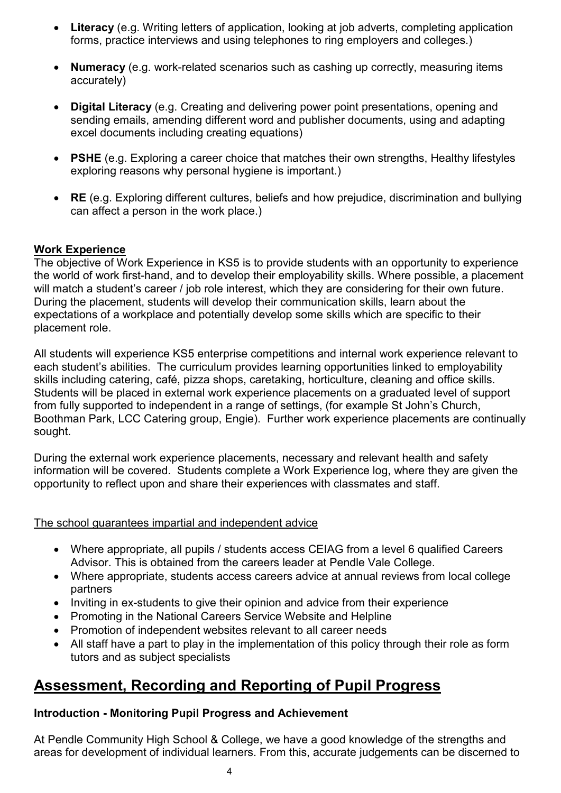- **Literacy** (e.g. Writing letters of application, looking at job adverts, completing application forms, practice interviews and using telephones to ring employers and colleges.)
- **Numeracy** (e.g. work-related scenarios such as cashing up correctly, measuring items accurately)
- **Digital Literacy** (e.g. Creating and delivering power point presentations, opening and sending emails, amending different word and publisher documents, using and adapting excel documents including creating equations)
- **PSHE** (e.g. Exploring a career choice that matches their own strengths, Healthy lifestyles exploring reasons why personal hygiene is important.)
- **RE** (e.g. Exploring different cultures, beliefs and how prejudice, discrimination and bullying can affect a person in the work place.)

#### **Work Experience**

The objective of Work Experience in KS5 is to provide students with an opportunity to experience the world of work first-hand, and to develop their employability skills. Where possible, a placement will match a student's career / job role interest, which they are considering for their own future. During the placement, students will develop their communication skills, learn about the expectations of a workplace and potentially develop some skills which are specific to their placement role.

All students will experience KS5 enterprise competitions and internal work experience relevant to each student's abilities. The curriculum provides learning opportunities linked to employability skills including catering, café, pizza shops, caretaking, horticulture, cleaning and office skills. Students will be placed in external work experience placements on a graduated level of support from fully supported to independent in a range of settings, (for example St John's Church, Boothman Park, LCC Catering group, Engie). Further work experience placements are continually sought.

During the external work experience placements, necessary and relevant health and safety information will be covered. Students complete a Work Experience log, where they are given the opportunity to reflect upon and share their experiences with classmates and staff.

#### The school guarantees impartial and independent advice

- Where appropriate, all pupils / students access CEIAG from a level 6 qualified Careers Advisor. This is obtained from the careers leader at Pendle Vale College.
- Where appropriate, students access careers advice at annual reviews from local college partners
- Inviting in ex-students to give their opinion and advice from their experience
- Promoting in the National Careers Service Website and Helpline
- Promotion of independent websites relevant to all career needs
- All staff have a part to play in the implementation of this policy through their role as form tutors and as subject specialists

# **Assessment, Recording and Reporting of Pupil Progress**

#### **Introduction - Monitoring Pupil Progress and Achievement**

At Pendle Community High School & College, we have a good knowledge of the strengths and areas for development of individual learners. From this, accurate judgements can be discerned to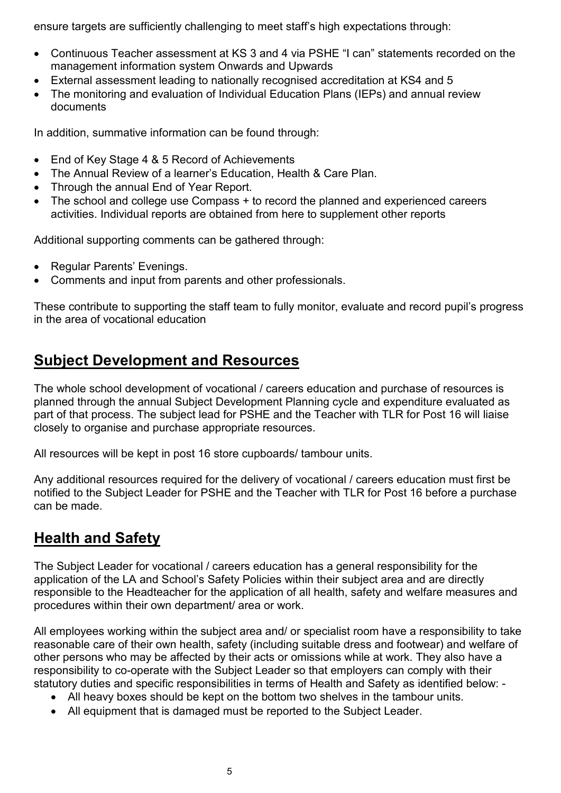ensure targets are sufficiently challenging to meet staff's high expectations through:

- Continuous Teacher assessment at KS 3 and 4 via PSHE "I can" statements recorded on the management information system Onwards and Upwards
- External assessment leading to nationally recognised accreditation at KS4 and 5
- The monitoring and evaluation of Individual Education Plans (IEPs) and annual review documents

In addition, summative information can be found through:

- End of Key Stage 4 & 5 Record of Achievements
- The Annual Review of a learner's Education, Health & Care Plan.
- Through the annual End of Year Report.
- The school and college use Compass + to record the planned and experienced careers activities. Individual reports are obtained from here to supplement other reports

Additional supporting comments can be gathered through:

- Regular Parents' Evenings.
- Comments and input from parents and other professionals.

These contribute to supporting the staff team to fully monitor, evaluate and record pupil's progress in the area of vocational education

## **Subject Development and Resources**

The whole school development of vocational / careers education and purchase of resources is planned through the annual Subject Development Planning cycle and expenditure evaluated as part of that process. The subject lead for PSHE and the Teacher with TLR for Post 16 will liaise closely to organise and purchase appropriate resources.

All resources will be kept in post 16 store cupboards/ tambour units.

Any additional resources required for the delivery of vocational / careers education must first be notified to the Subject Leader for PSHE and the Teacher with TLR for Post 16 before a purchase can be made.

# **Health and Safety**

The Subject Leader for vocational / careers education has a general responsibility for the application of the LA and School's Safety Policies within their subject area and are directly responsible to the Headteacher for the application of all health, safety and welfare measures and procedures within their own department/ area or work.

All employees working within the subject area and/ or specialist room have a responsibility to take reasonable care of their own health, safety (including suitable dress and footwear) and welfare of other persons who may be affected by their acts or omissions while at work. They also have a responsibility to co-operate with the Subject Leader so that employers can comply with their statutory duties and specific responsibilities in terms of Health and Safety as identified below: -

- All heavy boxes should be kept on the bottom two shelves in the tambour units.
- All equipment that is damaged must be reported to the Subject Leader.